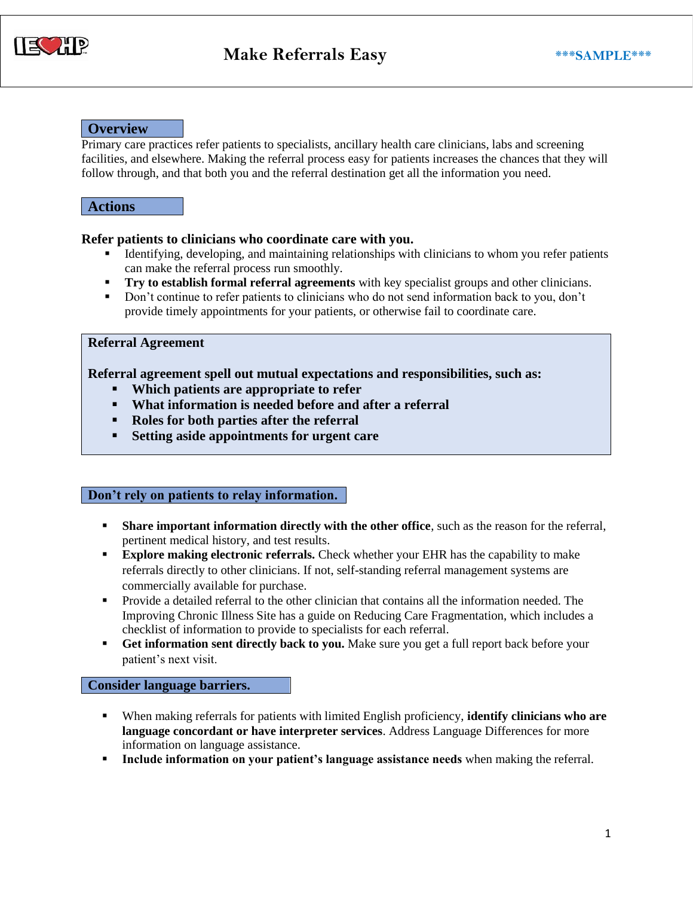

## **Overview**

Primary care practices refer patients to specialists, ancillary health care clinicians, labs and screening facilities, and elsewhere. Making the referral process easy for patients increases the chances that they will follow through, and that both you and the referral destination get all the information you need.

## **Actions**

#### **Refer patients to clinicians who coordinate care with you.**

- **Example 1** Identifying, developing, and maintaining relationships with clinicians to whom you refer patients can make the referral process run smoothly.
- **Try to establish formal referral agreements** with key specialist groups and other clinicians.
- **•** Don't continue to refer patients to clinicians who do not send information back to you, don't provide timely appointments for your patients, or otherwise fail to coordinate care.

## **Referral Agreement**

## **Referral agreement spell out mutual expectations and responsibilities, such as:**

- **Which patients are appropriate to refer**
- **What information is needed before and after a referral**
- **Roles for both parties after the referral**
- **Setting aside appointments for urgent care**

#### **Don't rely on patients to relay information.**

- **Share important information directly with the other office**, such as the reason for the referral, pertinent medical history, and test results.
- **Explore making electronic referrals.** Check whether your EHR has the capability to make referrals directly to other clinicians. If not, self-standing referral management systems are commercially available for purchase.
- Provide a detailed referral to the other clinician that contains all the information needed. The Improving Chronic Illness Site has a guide on Reducing Care Fragmentation, which includes a checklist of information to provide to specialists for each referral.
- **Get information sent directly back to you.** Make sure you get a full report back before your patient's next visit.

#### **Consider language barriers.**

- When making referrals for patients with limited English proficiency, **identify clinicians who are language concordant or have interpreter services**. Address Language Differences for more information on language assistance.
- **Include information on your patient's language assistance needs** when making the referral.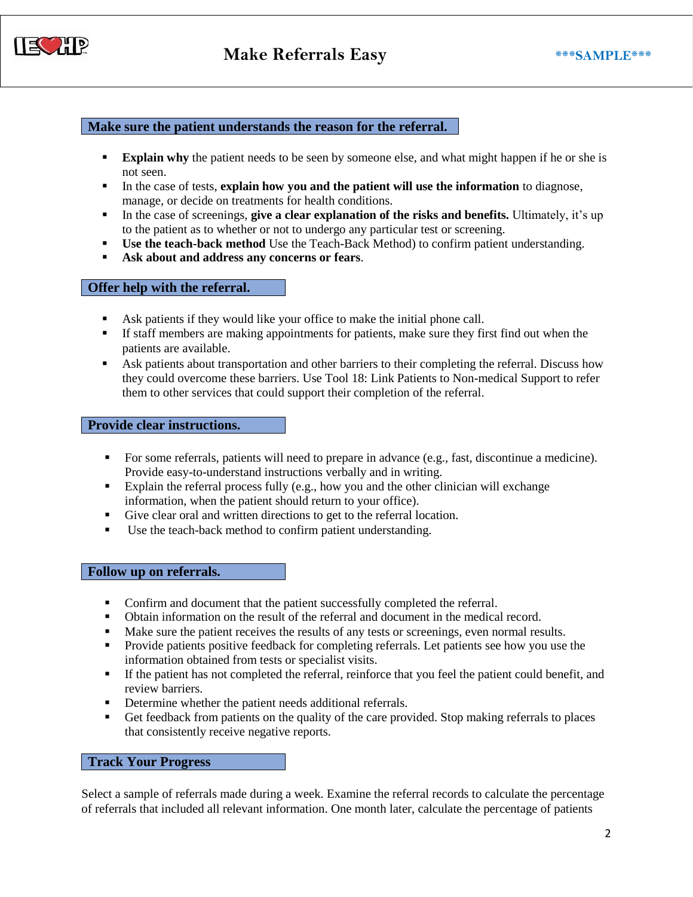

## **Make sure the patient understands the reason for the referral.**

- **Explain why** the patient needs to be seen by someone else, and what might happen if he or she is not seen.
- **In the case of tests, explain how you and the patient will use the information to diagnose,** manage, or decide on treatments for health conditions.
- In the case of screenings, **give a clear explanation of the risks and benefits.** Ultimately, it's up to the patient as to whether or not to undergo any particular test or screening.
- **Use the teach-back method** Use the Teach-Back Method) to confirm patient understanding.
- **Ask about and address any concerns or fears**.

# **Offer help with the referral.**

- Ask patients if they would like your office to make the initial phone call.
- If staff members are making appointments for patients, make sure they first find out when the patients are available.
- **•** Ask patients about transportation and other barriers to their completing the referral. Discuss how they could overcome these barriers. Use Tool 18: Link Patients to Non-medical Support to refer them to other services that could support their completion of the referral.

#### **Provide clear instructions.**

- For some referrals, patients will need to prepare in advance (e.g., fast, discontinue a medicine). Provide easy-to-understand instructions verbally and in writing.
- Explain the referral process fully (e.g., how you and the other clinician will exchange information, when the patient should return to your office).
- Give clear oral and written directions to get to the referral location.
- Use the teach-back method to confirm patient understanding.

#### **Follow up on referrals.**

- Confirm and document that the patient successfully completed the referral.
- Obtain information on the result of the referral and document in the medical record.
- Make sure the patient receives the results of any tests or screenings, even normal results.
- Provide patients positive feedback for completing referrals. Let patients see how you use the information obtained from tests or specialist visits.
- If the patient has not completed the referral, reinforce that you feel the patient could benefit, and review barriers.
- Determine whether the patient needs additional referrals.
- **•** Get feedback from patients on the quality of the care provided. Stop making referrals to places that consistently receive negative reports.

### **Track Your Progress**

Select a sample of referrals made during a week. Examine the referral records to calculate the percentage of referrals that included all relevant information. One month later, calculate the percentage of patients